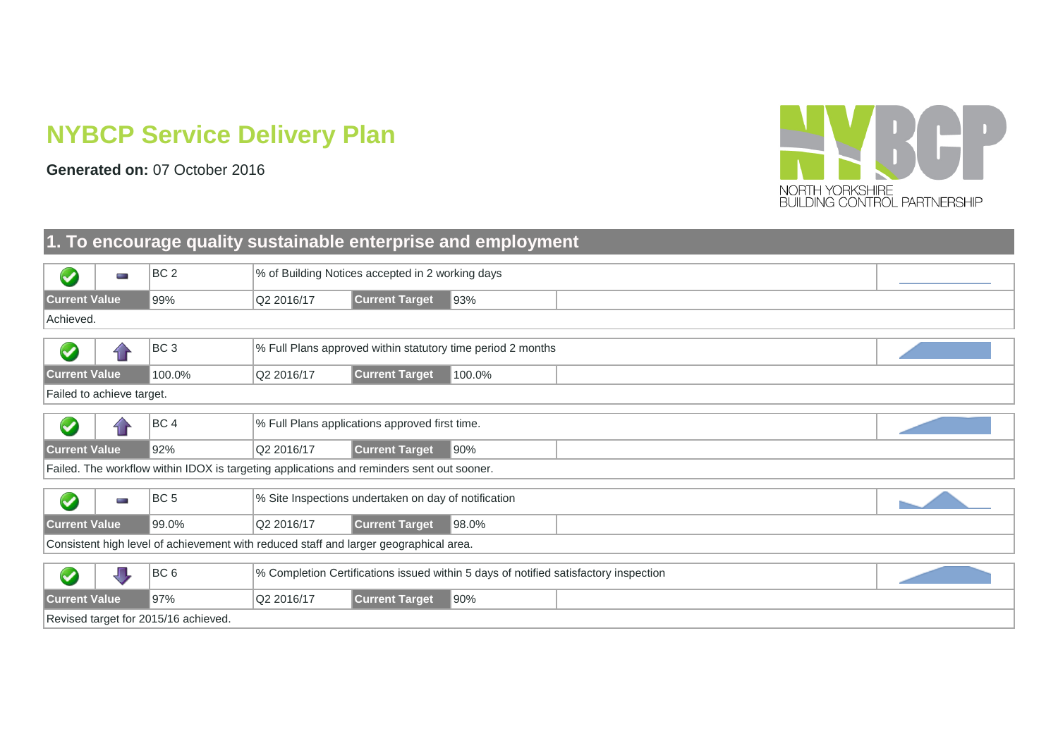# **NYBCP Service Delivery Plan**

**Generated on:** 07 October 2016



#### **1. To encourage quality sustainable enterprise and employment**

| $\blacktriangledown$      | for a          | BC <sub>2</sub>                                                                           |            | % of Building Notices accepted in 2 working days     |                                                                                      |  |
|---------------------------|----------------|-------------------------------------------------------------------------------------------|------------|------------------------------------------------------|--------------------------------------------------------------------------------------|--|
| <b>Current Value</b>      |                | 99%                                                                                       | Q2 2016/17 | <b>Current Target</b>                                | 93%                                                                                  |  |
| Achieved.                 |                |                                                                                           |            |                                                      |                                                                                      |  |
|                           |                |                                                                                           |            |                                                      |                                                                                      |  |
| $\blacktriangledown$      |                | BC <sub>3</sub>                                                                           |            |                                                      | % Full Plans approved within statutory time period 2 months                          |  |
| <b>Current Value</b>      |                | 100.0%                                                                                    | Q2 2016/17 | <b>Current Target</b>                                | 100.0%                                                                               |  |
| Failed to achieve target. |                |                                                                                           |            |                                                      |                                                                                      |  |
|                           |                |                                                                                           |            |                                                      |                                                                                      |  |
| $\blacktriangledown$      |                | BC <sub>4</sub>                                                                           |            | % Full Plans applications approved first time.       |                                                                                      |  |
| <b>Current Value</b>      |                | 92%                                                                                       | Q2 2016/17 | <b>Current Target</b>                                | 90%                                                                                  |  |
|                           |                | Failed. The workflow within IDOX is targeting applications and reminders sent out sooner. |            |                                                      |                                                                                      |  |
|                           |                |                                                                                           |            |                                                      |                                                                                      |  |
| $\blacktriangledown$      | <b>COLLEGE</b> | BC <sub>5</sub>                                                                           |            | % Site Inspections undertaken on day of notification |                                                                                      |  |
| <b>Current Value</b>      |                | 99.0%                                                                                     | Q2 2016/17 | <b>Current Target</b>                                | 98.0%                                                                                |  |
|                           |                | Consistent high level of achievement with reduced staff and larger geographical area.     |            |                                                      |                                                                                      |  |
|                           |                |                                                                                           |            |                                                      |                                                                                      |  |
| $\blacktriangledown$      |                | BC <sub>6</sub>                                                                           |            |                                                      | % Completion Certifications issued within 5 days of notified satisfactory inspection |  |
| <b>Current Value</b>      |                | 97%                                                                                       | Q2 2016/17 | <b>Current Target</b>                                | 90%                                                                                  |  |
|                           |                | Revised target for 2015/16 achieved.                                                      |            |                                                      |                                                                                      |  |
|                           |                |                                                                                           |            |                                                      |                                                                                      |  |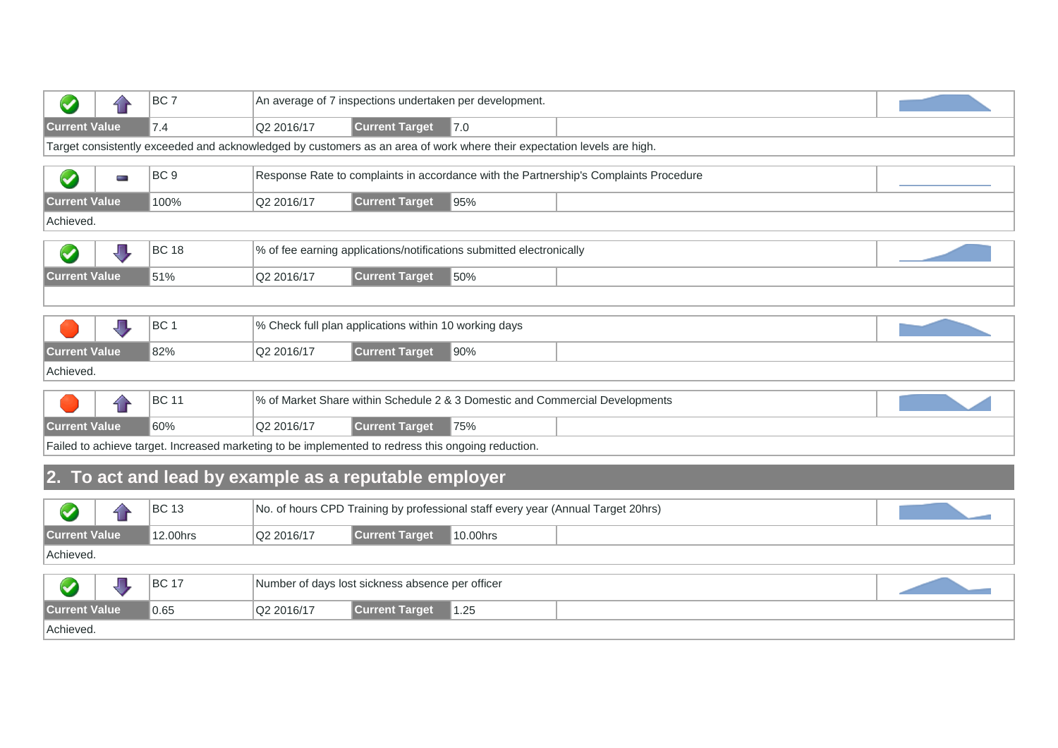|                      |              | BC <sub>7</sub>                                                                                    |            |                                                       | An average of 7 inspections undertaken per development.                                                                |                                                                                       |  |
|----------------------|--------------|----------------------------------------------------------------------------------------------------|------------|-------------------------------------------------------|------------------------------------------------------------------------------------------------------------------------|---------------------------------------------------------------------------------------|--|
| <b>Current Value</b> |              | 7.4                                                                                                | Q2 2016/17 | <b>Current Target</b>                                 | 7.0                                                                                                                    |                                                                                       |  |
|                      |              |                                                                                                    |            |                                                       | Target consistently exceeded and acknowledged by customers as an area of work where their expectation levels are high. |                                                                                       |  |
| $\blacktriangledown$ | <b>STATE</b> | BC <sub>9</sub>                                                                                    |            |                                                       |                                                                                                                        | Response Rate to complaints in accordance with the Partnership's Complaints Procedure |  |
| <b>Current Value</b> |              | 100%                                                                                               | Q2 2016/17 | <b>Current Target</b>                                 | 95%                                                                                                                    |                                                                                       |  |
| Achieved.            |              |                                                                                                    |            |                                                       |                                                                                                                        |                                                                                       |  |
|                      |              | <b>BC 18</b>                                                                                       |            |                                                       | % of fee earning applications/notifications submitted electronically                                                   |                                                                                       |  |
| <b>Current Value</b> |              | 51%                                                                                                | Q2 2016/17 | <b>Current Target</b>                                 | 50%                                                                                                                    |                                                                                       |  |
|                      |              |                                                                                                    |            |                                                       |                                                                                                                        |                                                                                       |  |
|                      |              | BC <sub>1</sub>                                                                                    |            | % Check full plan applications within 10 working days |                                                                                                                        |                                                                                       |  |
| <b>Current Value</b> |              | 82%                                                                                                | Q2 2016/17 | <b>Current Target</b>                                 | 90%                                                                                                                    |                                                                                       |  |
| Achieved.            |              |                                                                                                    |            |                                                       |                                                                                                                        |                                                                                       |  |
|                      |              | <b>BC</b> 11                                                                                       |            |                                                       |                                                                                                                        | % of Market Share within Schedule 2 & 3 Domestic and Commercial Developments          |  |
| <b>Current Value</b> |              | 60%                                                                                                | Q2 2016/17 | <b>Current Target</b>                                 | 75%                                                                                                                    |                                                                                       |  |
|                      |              | Failed to achieve target. Increased marketing to be implemented to redress this ongoing reduction. |            |                                                       |                                                                                                                        |                                                                                       |  |

# **2. To act and lead by example as a reputable employer**

|                                                                                     |  | <b>BC 13</b> |  | No. of hours CPD Training by professional staff every year (Annual Target 20hrs) |  |  |  |  |  |  |  |
|-------------------------------------------------------------------------------------|--|--------------|--|----------------------------------------------------------------------------------|--|--|--|--|--|--|--|
| <b>Current Value</b><br><b>Current Target</b><br>Q2 2016/17<br>12.00hrs<br>10.00hrs |  |              |  |                                                                                  |  |  |  |  |  |  |  |
| Achieved.                                                                           |  |              |  |                                                                                  |  |  |  |  |  |  |  |
| <b>BC 17</b><br>Number of days lost sickness absence per officer                    |  |              |  |                                                                                  |  |  |  |  |  |  |  |
| <b>Current Value</b><br><b>Current Target</b><br>0.65<br>Q2 2016/17<br>1.25         |  |              |  |                                                                                  |  |  |  |  |  |  |  |
| Achieved.                                                                           |  |              |  |                                                                                  |  |  |  |  |  |  |  |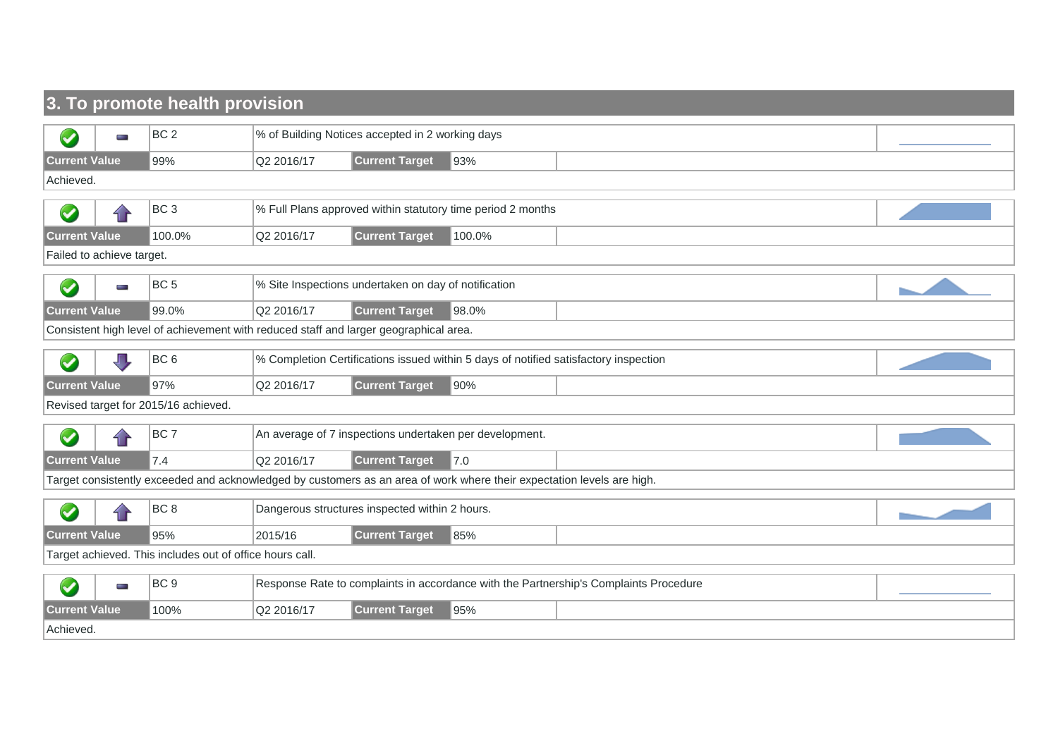### **3. To promote health provision**

|                      | p.                                                       | BC <sub>2</sub>                                                                       |            | % of Building Notices accepted in 2 working days     |                                                                                                                        |                                                                                       |  |  |  |  |
|----------------------|----------------------------------------------------------|---------------------------------------------------------------------------------------|------------|------------------------------------------------------|------------------------------------------------------------------------------------------------------------------------|---------------------------------------------------------------------------------------|--|--|--|--|
| <b>Current Value</b> |                                                          | 99%                                                                                   | Q2 2016/17 | <b>Current Target</b>                                | 93%                                                                                                                    |                                                                                       |  |  |  |  |
| Achieved.            |                                                          |                                                                                       |            |                                                      |                                                                                                                        |                                                                                       |  |  |  |  |
|                      |                                                          |                                                                                       |            |                                                      |                                                                                                                        |                                                                                       |  |  |  |  |
| $\blacktriangledown$ |                                                          | BC <sub>3</sub>                                                                       |            |                                                      | % Full Plans approved within statutory time period 2 months                                                            |                                                                                       |  |  |  |  |
| <b>Current Value</b> |                                                          | 100.0%                                                                                | Q2 2016/17 | <b>Current Target</b>                                | 100.0%                                                                                                                 |                                                                                       |  |  |  |  |
|                      | Failed to achieve target.                                |                                                                                       |            |                                                      |                                                                                                                        |                                                                                       |  |  |  |  |
| $\blacklozenge$      | e e                                                      | BC <sub>5</sub>                                                                       |            | % Site Inspections undertaken on day of notification |                                                                                                                        |                                                                                       |  |  |  |  |
| <b>Current Value</b> |                                                          | 99.0%                                                                                 | Q2 2016/17 | <b>Current Target</b>                                | 98.0%                                                                                                                  |                                                                                       |  |  |  |  |
|                      |                                                          | Consistent high level of achievement with reduced staff and larger geographical area. |            |                                                      |                                                                                                                        |                                                                                       |  |  |  |  |
|                      |                                                          |                                                                                       |            |                                                      |                                                                                                                        |                                                                                       |  |  |  |  |
| $\blacktriangledown$ |                                                          | BC <sub>6</sub>                                                                       |            |                                                      |                                                                                                                        | % Completion Certifications issued within 5 days of notified satisfactory inspection  |  |  |  |  |
| <b>Current Value</b> |                                                          | 97%                                                                                   | Q2 2016/17 | <b>Current Target</b>                                | 90%                                                                                                                    |                                                                                       |  |  |  |  |
|                      |                                                          | Revised target for 2015/16 achieved.                                                  |            |                                                      |                                                                                                                        |                                                                                       |  |  |  |  |
|                      |                                                          |                                                                                       |            |                                                      |                                                                                                                        |                                                                                       |  |  |  |  |
| $\blacktriangledown$ |                                                          | BC <sub>7</sub>                                                                       |            |                                                      | An average of 7 inspections undertaken per development.                                                                |                                                                                       |  |  |  |  |
| <b>Current Value</b> |                                                          | 7.4                                                                                   | Q2 2016/17 | <b>Current Target</b>                                | 7.0                                                                                                                    |                                                                                       |  |  |  |  |
|                      |                                                          |                                                                                       |            |                                                      | Target consistently exceeded and acknowledged by customers as an area of work where their expectation levels are high. |                                                                                       |  |  |  |  |
| $\blacktriangledown$ |                                                          | BC <sub>8</sub>                                                                       |            | Dangerous structures inspected within 2 hours.       |                                                                                                                        |                                                                                       |  |  |  |  |
| <b>Current Value</b> |                                                          | 95%                                                                                   | 2015/16    | <b>Current Target</b>                                | 85%                                                                                                                    |                                                                                       |  |  |  |  |
|                      | Target achieved. This includes out of office hours call. |                                                                                       |            |                                                      |                                                                                                                        |                                                                                       |  |  |  |  |
|                      |                                                          |                                                                                       |            |                                                      |                                                                                                                        |                                                                                       |  |  |  |  |
| $\bullet$            | m.                                                       | BC <sub>9</sub>                                                                       |            |                                                      |                                                                                                                        | Response Rate to complaints in accordance with the Partnership's Complaints Procedure |  |  |  |  |
| <b>Current Value</b> |                                                          | 100%                                                                                  | Q2 2016/17 | <b>Current Target</b>                                | 95%                                                                                                                    |                                                                                       |  |  |  |  |
| Achieved.            |                                                          |                                                                                       |            |                                                      |                                                                                                                        |                                                                                       |  |  |  |  |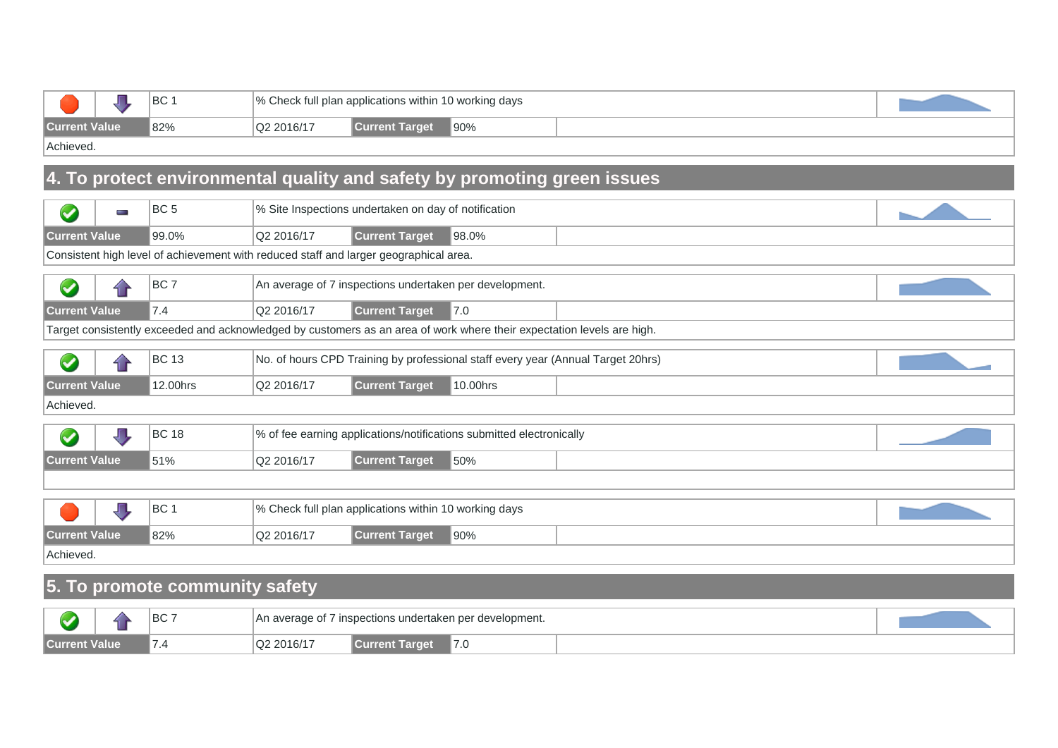|                      | <b>BC</b> |            | │% Check full plan applications within 10 working days |               |  |
|----------------------|-----------|------------|--------------------------------------------------------|---------------|--|
| <b>Current Value</b> | 82%       | Q2 2016/17 | rent Target                                            | $\sqrt{90\%}$ |  |
| $\cdots$             |           |            |                                                        |               |  |

Achieved.

### **4. To protect environmental quality and safety by promoting green issues**

|                      |                                                                            | BC <sub>5</sub>                                                                       |            | % Site Inspections undertaken on day of notification  |                                                                                                                        |  |  |  |  |  |
|----------------------|----------------------------------------------------------------------------|---------------------------------------------------------------------------------------|------------|-------------------------------------------------------|------------------------------------------------------------------------------------------------------------------------|--|--|--|--|--|
|                      | <b>STATE</b>                                                               |                                                                                       |            |                                                       |                                                                                                                        |  |  |  |  |  |
| <b>Current Value</b> |                                                                            | 99.0%                                                                                 | Q2 2016/17 | <b>Current Target</b>                                 | 98.0%                                                                                                                  |  |  |  |  |  |
|                      |                                                                            | Consistent high level of achievement with reduced staff and larger geographical area. |            |                                                       |                                                                                                                        |  |  |  |  |  |
|                      | BC <sub>7</sub><br>An average of 7 inspections undertaken per development. |                                                                                       |            |                                                       |                                                                                                                        |  |  |  |  |  |
| <b>Current Value</b> |                                                                            | 7.4                                                                                   | Q2 2016/17 | <b>Current Target</b>                                 | 7.0                                                                                                                    |  |  |  |  |  |
|                      |                                                                            |                                                                                       |            |                                                       | Target consistently exceeded and acknowledged by customers as an area of work where their expectation levels are high. |  |  |  |  |  |
|                      |                                                                            | <b>BC 13</b>                                                                          |            |                                                       | No. of hours CPD Training by professional staff every year (Annual Target 20hrs)                                       |  |  |  |  |  |
| <b>Current Value</b> |                                                                            | 12.00hrs                                                                              | Q2 2016/17 | <b>Current Target</b>                                 | 10.00hrs                                                                                                               |  |  |  |  |  |
| Achieved.            |                                                                            |                                                                                       |            |                                                       |                                                                                                                        |  |  |  |  |  |
|                      |                                                                            | <b>BC 18</b>                                                                          |            |                                                       | % of fee earning applications/notifications submitted electronically                                                   |  |  |  |  |  |
| <b>Current Value</b> |                                                                            | 51%                                                                                   | Q2 2016/17 | <b>Current Target</b>                                 | 50%                                                                                                                    |  |  |  |  |  |
|                      |                                                                            |                                                                                       |            |                                                       |                                                                                                                        |  |  |  |  |  |
|                      |                                                                            | BC <sub>1</sub>                                                                       |            | % Check full plan applications within 10 working days |                                                                                                                        |  |  |  |  |  |
| <b>Current Value</b> |                                                                            | 82%                                                                                   | Q2 2016/17 | <b>Current Target</b>                                 | $ 90\%$                                                                                                                |  |  |  |  |  |
| Achieved.            |                                                                            |                                                                                       |            |                                                       |                                                                                                                        |  |  |  |  |  |

# **5. To promote community safety**

|       | $\sim$ | $\sim$<br>◡ | nt.<br>An<br>d١        | 7 inspections undertaken per | development. |  |
|-------|--------|-------------|------------------------|------------------------------|--------------|--|
| ™d∥ls | /alue  |             | $\sim$ $\prime$ $\sim$ | <b>THEFT</b>                 | $\cdot$      |  |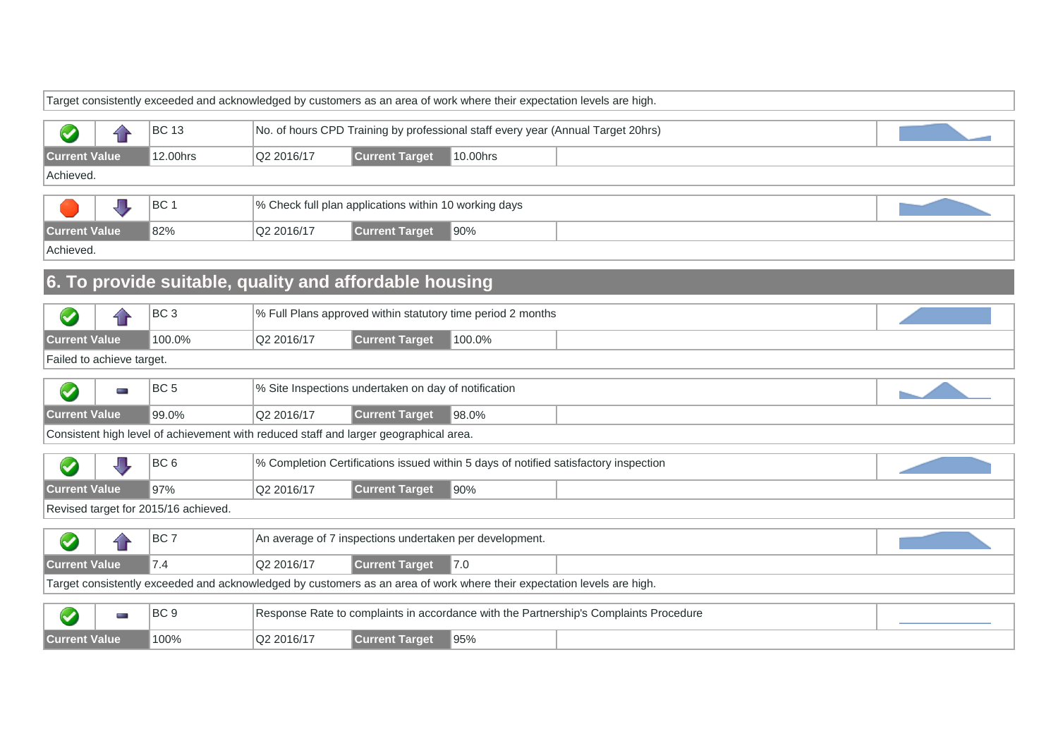|                           |     |                                                                                       |            |                                                         | Target consistently exceeded and acknowledged by customers as an area of work where their expectation levels are high. |                                                                                       |  |
|---------------------------|-----|---------------------------------------------------------------------------------------|------------|---------------------------------------------------------|------------------------------------------------------------------------------------------------------------------------|---------------------------------------------------------------------------------------|--|
|                           |     | <b>BC 13</b>                                                                          |            |                                                         | No. of hours CPD Training by professional staff every year (Annual Target 20hrs)                                       |                                                                                       |  |
| $\bullet$                 | 4 F |                                                                                       |            |                                                         |                                                                                                                        |                                                                                       |  |
| <b>Current Value</b>      |     | 12.00hrs                                                                              | Q2 2016/17 | <b>Current Target</b>                                   | 10.00hrs                                                                                                               |                                                                                       |  |
| Achieved.                 |     |                                                                                       |            |                                                         |                                                                                                                        |                                                                                       |  |
|                           |     | BC <sub>1</sub>                                                                       |            | % Check full plan applications within 10 working days   |                                                                                                                        |                                                                                       |  |
| <b>Current Value</b>      |     | 82%                                                                                   | Q2 2016/17 | <b>Current Target</b>                                   | 90%                                                                                                                    |                                                                                       |  |
| Achieved.                 |     |                                                                                       |            |                                                         |                                                                                                                        |                                                                                       |  |
|                           |     | 6. To provide suitable, quality and affordable housing                                |            |                                                         |                                                                                                                        |                                                                                       |  |
| $\blacktriangledown$      | 11  | BC <sub>3</sub>                                                                       |            |                                                         | % Full Plans approved within statutory time period 2 months                                                            |                                                                                       |  |
| <b>Current Value</b>      |     | 100.0%                                                                                | Q2 2016/17 | <b>Current Target</b>                                   | 100.0%                                                                                                                 |                                                                                       |  |
| Failed to achieve target. |     |                                                                                       |            |                                                         |                                                                                                                        |                                                                                       |  |
| $\bigcirc$                | ł   | BC <sub>5</sub>                                                                       |            | % Site Inspections undertaken on day of notification    |                                                                                                                        |                                                                                       |  |
| <b>Current Value</b>      |     | 99.0%                                                                                 | Q2 2016/17 | <b>Current Target</b>                                   | 98.0%                                                                                                                  |                                                                                       |  |
|                           |     | Consistent high level of achievement with reduced staff and larger geographical area. |            |                                                         |                                                                                                                        |                                                                                       |  |
| $\blacklozenge$           | Л,  | BC <sub>6</sub>                                                                       |            |                                                         |                                                                                                                        | % Completion Certifications issued within 5 days of notified satisfactory inspection  |  |
| <b>Current Value</b>      |     | 97%                                                                                   | Q2 2016/17 | <b>Current Target</b>                                   | 90%                                                                                                                    |                                                                                       |  |
|                           |     | Revised target for 2015/16 achieved.                                                  |            |                                                         |                                                                                                                        |                                                                                       |  |
| $\blacktriangledown$      | í r | BC <sub>7</sub>                                                                       |            | An average of 7 inspections undertaken per development. |                                                                                                                        |                                                                                       |  |
| <b>Current Value</b>      |     | 7.4                                                                                   | Q2 2016/17 | <b>Current Target</b>                                   | 7.0                                                                                                                    |                                                                                       |  |
|                           |     |                                                                                       |            |                                                         | Target consistently exceeded and acknowledged by customers as an area of work where their expectation levels are high. |                                                                                       |  |
|                           |     |                                                                                       |            |                                                         |                                                                                                                        |                                                                                       |  |
| S                         | ÷   | BC <sub>9</sub>                                                                       |            |                                                         |                                                                                                                        | Response Rate to complaints in accordance with the Partnership's Complaints Procedure |  |
| <b>Current Value</b>      |     | 100%                                                                                  | Q2 2016/17 | <b>Current Target</b>                                   | 95%                                                                                                                    |                                                                                       |  |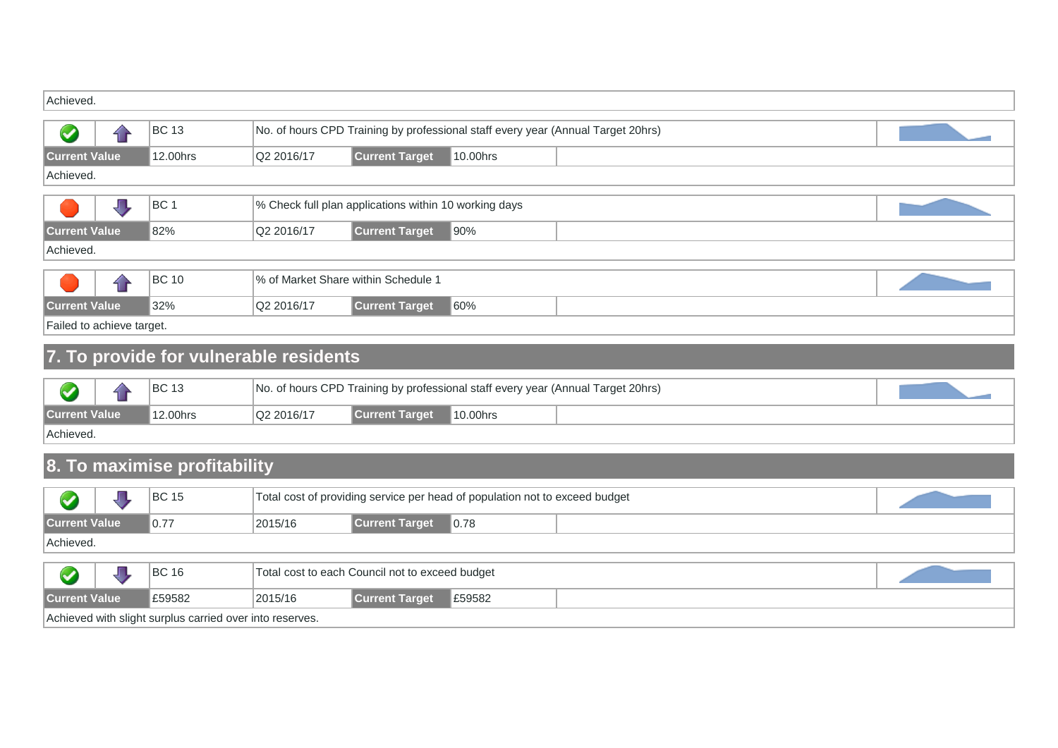| Achieved.            |                                                             |            |                                                                                  |     |  |  |  |  |  |  |  |
|----------------------|-------------------------------------------------------------|------------|----------------------------------------------------------------------------------|-----|--|--|--|--|--|--|--|
| $\blacktriangledown$ | <b>BC</b> 13                                                |            | No. of hours CPD Training by professional staff every year (Annual Target 20hrs) |     |  |  |  |  |  |  |  |
| <b>Current Value</b> | <b>Current Target</b><br>12.00hrs<br>Q2 2016/17<br>10.00hrs |            |                                                                                  |     |  |  |  |  |  |  |  |
| Achieved.            |                                                             |            |                                                                                  |     |  |  |  |  |  |  |  |
|                      | BC <sub>1</sub>                                             |            | % Check full plan applications within 10 working days                            |     |  |  |  |  |  |  |  |
| <b>Current Value</b> | 82%                                                         | Q2 2016/17 | <b>Current Target</b>                                                            | 90% |  |  |  |  |  |  |  |
| Achieved.            |                                                             |            |                                                                                  |     |  |  |  |  |  |  |  |
|                      | <b>BC</b> 10                                                |            | % of Market Share within Schedule 1                                              |     |  |  |  |  |  |  |  |
| <b>Current Value</b> | 32%                                                         | Q2 2016/17 | <b>Current Target</b>                                                            | 60% |  |  |  |  |  |  |  |

Failed to achieve target.

# **7. To provide for vulnerable residents**

|                                                                                      |  | <b>BC 13</b> |  |  | No. of hours CPD Training by professional staff every year (Annual Target 20hrs) |  |
|--------------------------------------------------------------------------------------|--|--------------|--|--|----------------------------------------------------------------------------------|--|
| <b>Current Value</b><br>12.00hrs<br>Q2 2016/17<br>∥10.00hrs<br><b>Current Target</b> |  |              |  |  |                                                                                  |  |
| Achieved.                                                                            |  |              |  |  |                                                                                  |  |

# **8. To maximise profitability**

|                                                                                        |                                                                 |  | <b>BC 15</b> |  | Total cost of providing service per head of population not to exceed budget |  |  |  |  |  |  |
|----------------------------------------------------------------------------------------|-----------------------------------------------------------------|--|--------------|--|-----------------------------------------------------------------------------|--|--|--|--|--|--|
| <b>Current Value</b><br><b>Current Target</b><br>0.77<br>2015/16<br>$\vert 0.78 \vert$ |                                                                 |  |              |  |                                                                             |  |  |  |  |  |  |
| Achieved.                                                                              |                                                                 |  |              |  |                                                                             |  |  |  |  |  |  |
|                                                                                        | <b>BC 16</b><br>Total cost to each Council not to exceed budget |  |              |  |                                                                             |  |  |  |  |  |  |
| <b>Current Value</b><br><b>Current Target</b><br>£59582<br>2015/16<br>E59582           |                                                                 |  |              |  |                                                                             |  |  |  |  |  |  |
|                                                                                        | Achieved with slight surplus carried over into reserves.        |  |              |  |                                                                             |  |  |  |  |  |  |